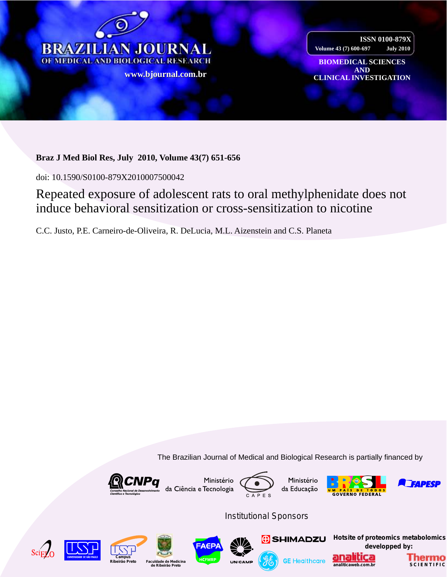

**ISSN 0100-879X Volume 43 (7) 600-697 July 2010**

**BIOMEDICAL SCIENCES AND www CLINICAL INVESTIGATION [.bjournal.com.b](http://www.scielo.br/scielo.php?script=sci_arttext&pid=S0100-879X2009001200016&lng=en&nrm=iso)[r](http://www.bjournal.com.br/)**

# **Braz J Med Biol Res, July 2010, Volume 43(7) 651-656**

doi: 10.1590/S0100-879X2010007500042

# Repeated exposure of adolescent rats to oral methylphenidate does not induce behavioral sensitization or cross-sensitization to nicotine

C.C. Justo, P.E. Carneiro-de-Oliveira, R. DeLucia, M.L. Aizenstein and C.S. Planeta

The Brazilian Journal of Medical and Biological Research is partially financed by











*Institutional Sponsors*















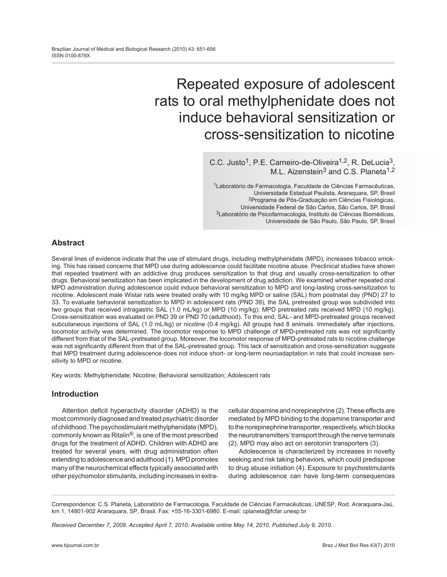# Repeated exposure of adolescent rats to oral methylphenidate does not induce behavioral sensitization or cross-sensitization to nicotine

C.C. Justo<sup>1</sup>, P.E. Carneiro-de-Oliveira<sup>1,2</sup>, R. DeLucia<sup>3</sup>, M.L. Aizenstein<sup>3</sup> and C.S. Planeta<sup>1,2</sup>

1Laboratório de Farmacologia, Faculdade de Ciências Farmacêuticas, Universidade Estadual Paulista, Araraquara, SP, Brasil 2Programa de Pós-Graduação em Ciências Fisiológicas, Universidade Federal de São Carlos, São Carlos, SP, Brasil 3Laboratório de Psicofarmacologia, Instituto de Ciências Biomédicas, Universidade de São Paulo, São Paulo, SP, Brasil

# **Abstract**

Several lines of evidence indicate that the use of stimulant drugs, including methylphenidate (MPD), increases tobacco smoking. This has raised concerns that MPD use during adolescence could facilitate nicotine abuse. Preclinical studies have shown that repeated treatment with an addictive drug produces sensitization to that drug and usually cross-sensitization to other drugs. Behavioral sensitization has been implicated in the development of drug addiction. We examined whether repeated oral MPD administration during adolescence could induce behavioral sensitization to MPD and long-lasting cross-sensitization to nicotine. Adolescent male Wistar rats were treated orally with 10 mg/kg MPD or saline (SAL) from postnatal day (PND) 27 to 33. To evaluate behavioral sensitization to MPD in adolescent rats (PND 39), the SAL pretreated group was subdivided into two groups that received intragastric SAL (1.0 mL/kg) or MPD (10 mg/kg); MPD pretreated rats received MPD (10 mg/kg). Cross-sensitization was evaluated on PND 39 or PND 70 (adulthood). To this end, SAL- and MPD-pretreated groups received subcutaneous injections of SAL (1.0 mL/kg) or nicotine (0.4 mg/kg). All groups had 8 animals. Immediately after injections, locomotor activity was determined. The locomotor response to MPD challenge of MPD-pretreated rats was not significantly different from that of the SAL-pretreated group. Moreover, the locomotor response of MPD-pretreated rats to nicotine challenge was not significantly different from that of the SAL-pretreated group. This lack of sensitization and cross-sensitization suggests that MPD treatment during adolescence does not induce short- or long-term neuroadaptation in rats that could increase sensitivity to MPD or nicotine.

Key words: Methylphenidate; Nicotine; Behavioral sensitization; Adolescent rats

# **Introduction**

Attention deficit hyperactivity disorder (ADHD) is the most commonly diagnosed and treated psychiatric disorder of childhood. The psychostimulant methylphenidate (MPD), commonly known as Ritalin®, is one of the most prescribed drugs for the treatment of ADHD. Children with ADHD are treated for several years, with drug administration often extending to adolescence and adulthood (1). MPD promotes many of the neurochemical effects typically associated with other psychomotor stimulants, including increases in extracellular dopamine and norepinephrine (2). These effects are mediated by MPD binding to the dopamine transporter and to the norepinephrine transporter, respectively, which blocks the neurotransmitters' transport through the nerve terminals (2). MPD may also act on serotonin transporters (3).

Adolescence is characterized by increases in novelty seeking and risk taking behaviors, which could predispose to drug abuse initiation (4). Exposure to psychostimulants during adolescence can have long-term consequences

Correspondence: C.S. Planeta, Laboratório de Farmacologia, Faculdade de Ciências Farmacêuticas, UNESP, Rod. Araraquara-Jaú, km 1, 14801-902 Araraquara, SP, Brasil. Fax: +55-16-3301-6980. E-mail: cplaneta@fcfar.unesp.br

*Received December 7, 2009. Accepted April 7, 2010. Available online May 14, 2010. Published July 9, 2010.*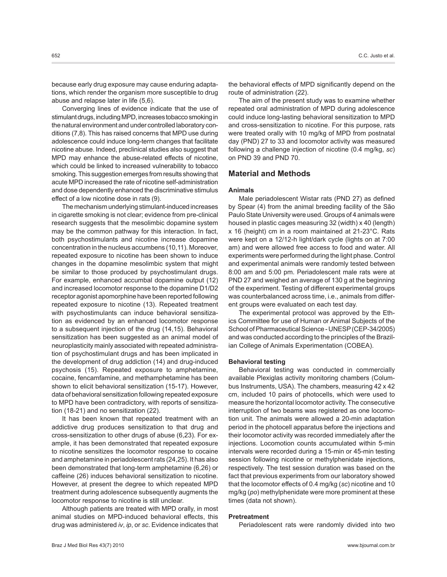because early drug exposure may cause enduring adaptations, which render the organism more susceptible to drug abuse and relapse later in life (5,6).

Converging lines of evidence indicate that the use of stimulant drugs, including MPD, increases tobacco smoking in the natural environment and under controlled laboratory conditions (7,8). This has raised concerns that MPD use during adolescence could induce long-term changes that facilitate nicotine abuse. Indeed, preclinical studies also suggest that MPD may enhance the abuse-related effects of nicotine, which could be linked to increased vulnerability to tobacco smoking. This suggestion emerges from results showing that acute MPD increased the rate of nicotine self-administration and dose dependently enhanced the discriminative stimulus effect of a low nicotine dose in rats (9).

The mechanism underlying stimulant-induced increases in cigarette smoking is not clear; evidence from pre-clinical research suggests that the mesolimbic dopamine system may be the common pathway for this interaction. In fact, both psychostimulants and nicotine increase dopamine concentration in the nucleus accumbens (10,11). Moreover, repeated exposure to nicotine has been shown to induce changes in the dopamine mesolimbic system that might be similar to those produced by psychostimulant drugs. For example, enhanced accumbal dopamine output (12) and increased locomotor response to the dopamine D1/D2 receptor agonist apomorphine have been reported following repeated exposure to nicotine (13). Repeated treatment with psychostimulants can induce behavioral sensitization as evidenced by an enhanced locomotor response to a subsequent injection of the drug (14,15). Behavioral sensitization has been suggested as an animal model of neuroplasticity mainly associated with repeated administration of psychostimulant drugs and has been implicated in the development of drug addiction (14) and drug-induced psychosis (15). Repeated exposure to amphetamine, cocaine, fencamfamine, and methamphetamine has been shown to elicit behavioral sensitization (15-17). However, data of behavioral sensitization following repeated exposure to MPD have been contradictory, with reports of sensitization (18-21) and no sensitization (22).

It has been known that repeated treatment with an addictive drug produces sensitization to that drug and cross-sensitization to other drugs of abuse (6,23). For example, it has been demonstrated that repeated exposure to nicotine sensitizes the locomotor response to cocaine and amphetamine in periadolescent rats (24,25). It has also been demonstrated that long-term amphetamine (6,26) or caffeine (26) induces behavioral sensitization to nicotine. However, at present the degree to which repeated MPD treatment during adolescence subsequently augments the locomotor response to nicotine is still unclear.

Although patients are treated with MPD orally, in most animal studies on MPD-induced behavioral effects, this drug was administered *iv*, *ip*, or *sc*. Evidence indicates that the behavioral effects of MPD significantly depend on the route of administration (22).

The aim of the present study was to examine whether repeated oral administration of MPD during adolescence could induce long-lasting behavioral sensitization to MPD and cross-sensitization to nicotine. For this purpose, rats were treated orally with 10 mg/kg of MPD from postnatal day (PND) 27 to 33 and locomotor activity was measured following a challenge injection of nicotine (0.4 mg/kg, *sc*) on PND 39 and PND 70.

# **Material and Methods**

# **Animals**

Male periadolescent Wistar rats (PND 27) as defined by Spear (4) from the animal breeding facility of the São Paulo State University were used. Groups of 4 animals were housed in plastic cages measuring 32 (width) x 40 (length) x 16 (height) cm in a room maintained at 21-23°C. Rats were kept on a 12/12-h light/dark cycle (lights on at 7:00 am) and were allowed free access to food and water. All experiments were performed during the light phase. Control and experimental animals were randomly tested between 8:00 am and 5:00 pm. Periadolescent male rats were at PND 27 and weighed an average of 130 g at the beginning of the experiment. Testing of different experimental groups was counterbalanced across time, i.e., animals from different groups were evaluated on each test day.

The experimental protocol was approved by the Ethics Committee for use of Human or Animal Subjects of the School of Pharmaceutical Science - UNESP (CEP-34/2005) and was conducted according to the principles of the Brazilian College of Animals Experimentation (COBEA).

#### **Behavioral testing**

Behavioral testing was conducted in commercially available Plexiglas activity monitoring chambers (Columbus Instruments, USA). The chambers, measuring 42 x 42 cm, included 10 pairs of photocells, which were used to measure the horizontal locomotor activity. The consecutive interruption of two beams was registered as one locomotion unit. The animals were allowed a 20-min adaptation period in the photocell apparatus before the injections and their locomotor activity was recorded immediately after the injections. Locomotion counts accumulated within 5-min intervals were recorded during a 15-min or 45-min testing session following nicotine or methylphenidate injections, respectively. The test session duration was based on the fact that previous experiments from our laboratory showed that the locomotor effects of 0.4 mg/kg (*sc*) nicotine and 10 mg/kg (*po*) methylphenidate were more prominent at these times (data not shown).

### **Pretreatment**

Periadolescent rats were randomly divided into two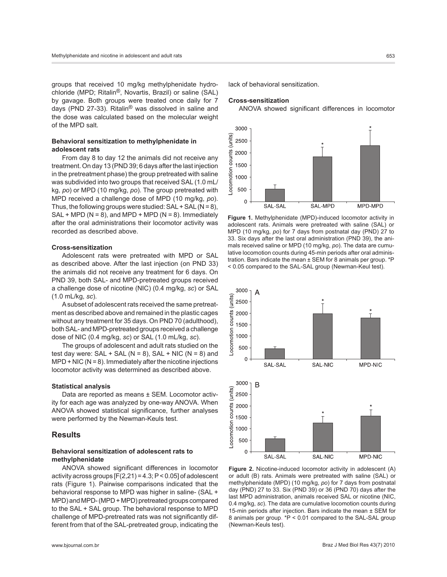groups that received 10 mg/kg methylphenidate hydrochloride (MPD; Ritalin®, Novartis, Brazil) or saline (SAL) by gavage. Both groups were treated once daily for 7 days (PND 27-33). Ritalin® was dissolved in saline and the dose was calculated based on the molecular weight of the MPD salt.

# **Behavioral sensitization to methylphenidate in adolescent rats**

From day 8 to day 12 the animals did not receive any treatment. On day 13 (PND 39; 6 days after the last injection in the pretreatment phase) the group pretreated with saline was subdivided into two groups that received SAL (1.0 mL/ kg, *po*) or MPD (10 mg/kg, *po*). The group pretreated with MPD received a challenge dose of MPD (10 mg/kg, *po*). Thus, the following groups were studied:  $SAL + SAL (N = 8)$ ,  $SAL + MPD (N = 8)$ , and  $MPD + MPD (N = 8)$ . Immediately after the oral administrations their locomotor activity was recorded as described above.

### **Cross-sensitization**

Adolescent rats were pretreated with MPD or SAL as described above. After the last injection (on PND 33) the animals did not receive any treatment for 6 days. On PND 39, both SAL- and MPD-pretreated groups received a challenge dose of nicotine (NIC) (0.4 mg/kg, *sc*) or SAL (1.0 mL/kg, *sc*).

A subset of adolescent rats received the same pretreatment as described above and remained in the plastic cages without any treatment for 35 days. On PND 70 (adulthood), both SAL- and MPD-pretreated groups received a challenge dose of NIC (0.4 mg/kg, *sc*) or SAL (1.0 mL/kg, *sc*).

The groups of adolescent and adult rats studied on the test day were:  $SAL + SAL (N = 8)$ ,  $SAL + NIC (N = 8)$  and  $MPD + NIC (N = 8)$ . Immediately after the nicotine injections locomotor activity was determined as described above.

#### **Statistical analysis**

Data are reported as means ± SEM. Locomotor activity for each age was analyzed by one-way ANOVA. When ANOVA showed statistical significance, further analyses were performed by the Newman-Keuls test.

# **Results**

## **Behavioral sensitization of adolescent rats to methylphenidate**

ANOVA showed significant differences in locomotor activity across groups  $[F(2,21) = 4.3; P < 0.05]$  of adolescent rats (Figure 1). Pairwise comparisons indicated that the behavioral response to MPD was higher in saline- (SAL + MPD) and MPD- (MPD + MPD) pretreated groups compared to the SAL + SAL group. The behavioral response to MPD challenge of MPD-pretreated rats was not significantly different from that of the SAL-pretreated group, indicating the

lack of behavioral sensitization.

# **Cross-sensitization**

ANOVA showed significant differences in locomotor



**Figure 1.** Methylphenidate (MPD)-induced locomotor activity in adolescent rats. Animals were pretreated with saline (SAL) or MPD (10 mg/kg, *po*) for 7 days from postnatal day (PND) 27 to 33. Six days after the last oral administration (PND 39), the animals received saline or MPD (10 mg/kg, *po*). The data are cumulative locomotion counts during 45-min periods after oral administration. Bars indicate the mean ± SEM for 8 animals per group. \*P < 0.05 compared to the SAL-SAL group (Newman-Keul test).



**Figure 2.** Nicotine-induced locomotor activity in adolescent (A) or adult (B) rats. Animals were pretreated with saline (SAL) or methylphenidate (MPD) (10 mg/kg, *po*) for 7 days from postnatal day (PND) 27 to 33. Six (PND 39) or 36 (PND 70) days after the last MPD administration, animals received SAL or nicotine (NIC, 0.4 mg/kg, *sc*). The data are cumulative locomotion counts during 15-min periods after injection. Bars indicate the mean ± SEM for 8 animals per group. \*P < 0.01 compared to the SAL-SAL group (Newman-Keuls test).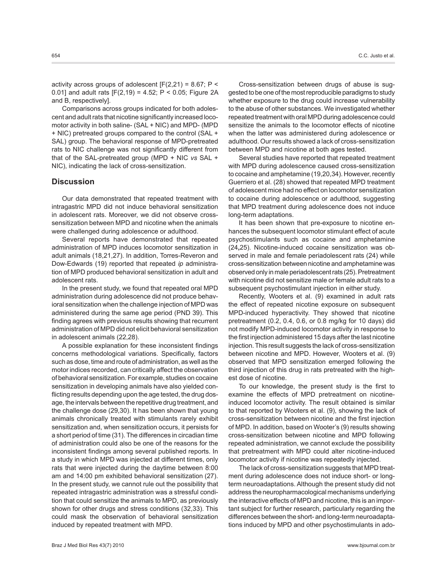activity across groups of adolescent  $[F(2,21) = 8.67; P <$ 0.01] and adult rats  $[F(2,19) = 4.52; P < 0.05; Figure 2A$ and B, respectively].

Comparisons across groups indicated for both adolescent and adult rats that nicotine significantly increased locomotor activity in both saline- (SAL + NIC) and MPD- (MPD + NIC) pretreated groups compared to the control (SAL + SAL) group. The behavioral response of MPD-pretreated rats to NIC challenge was not significantly different from that of the SAL-pretreated group (MPD + NIC *vs* SAL + NIC), indicating the lack of cross-sensitization.

# **Discussion**

Our data demonstrated that repeated treatment with intragastric MPD did not induce behavioral sensitization in adolescent rats. Moreover, we did not observe crosssensitization between MPD and nicotine when the animals were challenged during adolescence or adulthood.

Several reports have demonstrated that repeated administration of MPD induces locomotor sensitization in adult animals (18,21,27). In addition, Torres-Reveron and Dow-Edwards (19) reported that repeated *ip* administration of MPD produced behavioral sensitization in adult and adolescent rats.

In the present study, we found that repeated oral MPD administration during adolescence did not produce behavioral sensitization when the challenge injection of MPD was administered during the same age period (PND 39). This finding agrees with previous results showing that recurrent administration of MPD did not elicit behavioral sensitization in adolescent animals (22,28).

A possible explanation for these inconsistent findings concerns methodological variations. Specifically, factors such as dose, time and route of administration, as well as the motor indices recorded, can critically affect the observation of behavioral sensitization. For example, studies on cocaine sensitization in developing animals have also yielded conflicting results depending upon the age tested, the drug dosage, the intervals between the repetitive drug treatment, and the challenge dose (29,30). It has been shown that young animals chronically treated with stimulants rarely exhibit sensitization and, when sensitization occurs, it persists for a short period of time (31). The differences in circadian time of administration could also be one of the reasons for the inconsistent findings among several published reports. In a study in which MPD was injected at different times, only rats that were injected during the daytime between 8:00 am and 14:00 pm exhibited behavioral sensitization (27). In the present study, we cannot rule out the possibility that repeated intragastric administration was a stressful condition that could sensitize the animals to MPD, as previously shown for other drugs and stress conditions (32,33). This could mask the observation of behavioral sensitization induced by repeated treatment with MPD.

Cross-sensitization between drugs of abuse is suggested to be one of the most reproducible paradigms to study whether exposure to the drug could increase vulnerability to the abuse of other substances. We investigated whether repeated treatment with oral MPD during adolescence could sensitize the animals to the locomotor effects of nicotine when the latter was administered during adolescence or adulthood. Our results showed a lack of cross-sensitization between MPD and nicotine at both ages tested.

Several studies have reported that repeated treatment with MPD during adolescence caused cross-sensitization to cocaine and amphetamine (19,20,34). However, recently Guerriero et al. (28) showed that repeated MPD treatment of adolescent mice had no effect on locomotor sensitization to cocaine during adolescence or adulthood, suggesting that MPD treatment during adolescence does not induce long-term adaptations.

It has been shown that pre-exposure to nicotine enhances the subsequent locomotor stimulant effect of acute psychostimulants such as cocaine and amphetamine (24**,**25). Nicotine-induced cocaine sensitization was observed in male and female periadolescent rats (24) while cross-sensitization between nicotine and amphetamine was observed only in male periadolescent rats (25). Pretreatment with nicotine did not sensitize male or female adult rats to a subsequent psychostimulant injection in either study.

Recently, Wooters et al. (9) examined in adult rats the effect of repeated nicotine exposure on subsequent MPD-induced hyperactivity. They showed that nicotine pretreatment (0.2, 0.4, 0.6, or 0.8 mg/kg for 10 days) did not modify MPD-induced locomotor activity in response to the first injection administered 15 days after the last nicotine injection. This result suggests the lack of cross-sensitization between nicotine and MPD. However, Wooters et al. (9) observed that MPD sensitization emerged following the third injection of this drug in rats pretreated with the highest dose of nicotine.

To our knowledge, the present study is the first to examine the effects of MPD pretreatment on nicotineinduced locomotor activity. The result obtained is similar to that reported by Wooters et al. (9), showing the lack of cross-sensitization between nicotine and the first injection of MPD. In addition, based on Wooter's (9) results showing cross-sensitization between nicotine and MPD following repeated administration, we cannot exclude the possibility that pretreatment with MPD could alter nicotine-induced locomotor activity if nicotine was repeatedly injected.

The lack of cross-sensitization suggests that MPD treatment during adolescence does not induce short- or longterm neuroadaptations. Although the present study did not address the neuropharmacological mechanisms underlying the interactive effects of MPD and nicotine, this is an important subject for further research, particularly regarding the differences between the short- and long-term neuroadaptations induced by MPD and other psychostimulants in ado-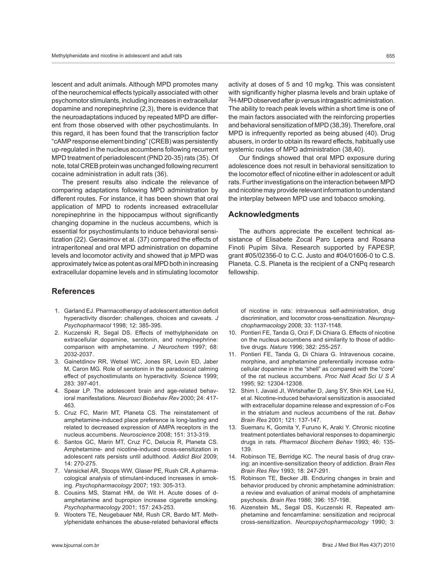lescent and adult animals. Although MPD promotes many of the neurochemical effects typically associated with other psychomotor stimulants, including increases in extracellular dopamine and norepinephrine (2,3), there is evidence that the neuroadaptations induced by repeated MPD are different from those observed with other psychostimulants. In this regard, it has been found that the transcription factor "cAMP response element binding" (CREB) was persistently up-regulated in the nucleus accumbens following recurrent MPD treatment of periadolescent (PND 20-35) rats (35). Of note, total CREB protein was unchanged following recurrent cocaine administration in adult rats (36).

The present results also indicate the relevance of comparing adaptations following MPD administration by different routes. For instance, it has been shown that oral application of MPD to rodents increased extracellular norepinephrine in the hippocampus without significantly changing dopamine in the nucleus accumbens, which is essential for psychostimulants to induce behavioral sensitization (22). Gerasimov et al. (37) compared the effects of intraperitoneal and oral MPD administration on dopamine levels and locomotor activity and showed that *ip* MPD was approximately twice as potent as oral MPD both in increasing extracellular dopamine levels and in stimulating locomotor

# **References**

- 1. Garland EJ. Pharmacotherapy of adolescent attention deficit hyperactivity disorder: challenges, choices and caveats. *J Psychopharmacol* 1998; 12: 385-395.
- 2. Kuczenski R, Segal DS. Effects of methylphenidate on extracellular dopamine, serotonin, and norepinephrine: comparison with amphetamine. *J Neurochem* 1997; 68: 2032-2037.
- 3. Gainetdinov RR, Wetsel WC, Jones SR, Levin ED, Jaber M, Caron MG. Role of serotonin in the paradoxical calming effect of psychostimulants on hyperactivity. *Science* 1999; 283: 397-401.
- 4. Spear LP. The adolescent brain and age-related behavioral manifestations. *Neurosci Biobehav Rev* 2000; 24: 417- 463.
- 5. Cruz FC, Marin MT, Planeta CS. The reinstatement of amphetamine-induced place preference is long-lasting and related to decreased expression of AMPA receptors in the nucleus accumbens. *Neuroscience* 2008; 151: 313-319.
- 6. Santos GC, Marin MT, Cruz FC, Delucia R, Planeta CS. Amphetamine- and nicotine-induced cross-sensitization in adolescent rats persists until adulthood. *Addict Biol* 2009; 14: 270-275.
- 7. Vansickel AR, Stoops WW, Glaser PE, Rush CR. A pharmacological analysis of stimulant-induced increases in smoking. *Psychopharmacology* 2007; 193: 305-313.
- 8. Cousins MS, Stamat HM, de Wit H. Acute doses of damphetamine and bupropion increase cigarette smoking. *Psychopharmacology* 2001; 157: 243-253.
- 9. Wooters TE, Neugebauer NM, Rush CR, Bardo MT. Methylphenidate enhances the abuse-related behavioral effects

activity at doses of 5 and 10 mg/kg. This was consistent with significantly higher plasma levels and brain uptake of <sup>3</sup>H-MPD observed after *ip* versus intragastric administration. The ability to reach peak levels within a short time is one of the main factors associated with the reinforcing properties and behavioral sensitization of MPD (38,39). Therefore, oral MPD is infrequently reported as being abused (40). Drug abusers, in order to obtain its reward effects, habitually use systemic routes of MPD administration (38,40).

Our findings showed that oral MPD exposure during adolescence does not result in behavioral sensitization to the locomotor effect of nicotine either in adolescent or adult rats. Further investigations on the interaction between MPD and nicotine may provide relevant information to understand the interplay between MPD use and tobacco smoking.

# **Acknowledgments**

The authors appreciate the excellent technical assistance of Elisabete Zocal Paro Lepera and Rosana Finoti Pupim Silva. Research supported by FAPESP, grant #05/02356-0 to C.C. Justo and #04/01606-0 to C.S. Planeta. C.S. Planeta is the recipient of a CNPq research fellowship.

of nicotine in rats: intravenous self-administration, drug discrimination, and locomotor cross-sensitization. *Neuropsychopharmacology* 2008; 33: 1137-1148.

- 10. Pontieri FE, Tanda G, Orzi F, Di Chiara G. Effects of nicotine on the nucleus accumbens and similarity to those of addictive drugs. *Nature* 1996; 382: 255-257.
- 11. Pontieri FE, Tanda G, Di Chiara G. Intravenous cocaine, morphine, and amphetamine preferentially increase extracellular dopamine in the "shell" as compared with the "core" of the rat nucleus accumbens. *Proc Natl Acad Sci U S A* 1995; 92: 12304-12308.
- 12. Shim I, Javaid JI, Wirtshafter D, Jang SY, Shin KH, Lee HJ, et al. Nicotine-induced behavioral sensitization is associated with extracellular dopamine release and expression of c-Fos in the striatum and nucleus accumbens of the rat. *Behav Brain Res* 2001; 121: 137-147.
- 13. Suemaru K, Gomita Y, Furuno K, Araki Y. Chronic nicotine treatment potentiates behavioral responses to dopaminergic drugs in rats. *Pharmacol Biochem Behav* 1993; 46: 135- 139.
- 14. Robinson TE, Berridge KC. The neural basis of drug craving: an incentive-sensitization theory of addiction. *Brain Res Brain Res Rev* 1993; 18: 247-291.
- 15. Robinson TE, Becker JB. Enduring changes in brain and behavior produced by chronic amphetamine administration: a review and evaluation of animal models of amphetamine psychosis. *Brain Res* 1986; 396: 157-198.
- 16. Aizenstein ML, Segal DS, Kuczenski R. Repeated amphetamine and fencamfamine: sensitization and reciprocal cross-sensitization. *Neuropsychopharmacology* 1990; 3: